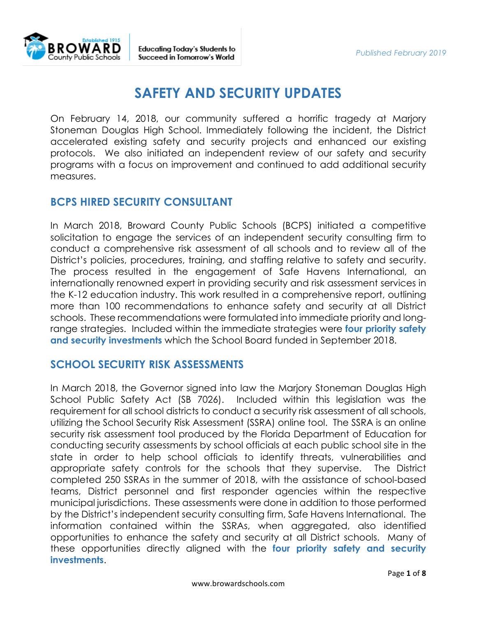

# **SAFETY AND SECURITY UPDATES**

 On February 14, 2018, our community suffered a horrific tragedy at Marjory Stoneman Douglas High School. Immediately following the incident, the District accelerated existing safety and security projects and enhanced our existing protocols. We also initiated an independent review of our safety and security programs with a focus on improvement and continued to add additional security measures.

#### **BCPS HIRED SECURITY CONSULTANT**

 In March 2018, Broward County Public Schools (BCPS) initiated a competitive solicitation to engage the services of an independent security consulting firm to conduct a comprehensive risk assessment of all schools and to review all of the District's policies, procedures, training, and staffing relative to safety and security. The process resulted in the engagement of Safe Havens International, an internationally renowned expert in providing security and risk assessment services in the K-12 education industry. This work resulted in a comprehensive report, outlining more than 100 recommendations to enhance safety and security at all District schools. These recommendations were formulated into immediate priority and long- range strategies. Included within the immediate strategies were **four priority safety and security investments** which the School Board funded in September 2018.

#### **SCHOOL SECURITY RISK ASSESSMENTS**

 In March 2018, the Governor signed into law the Marjory Stoneman Douglas High School Public Safety Act (SB 7026). Included within this legislation was the requirement for all school districts to conduct a security risk assessment of all schools, utilizing the School Security Risk Assessment (SSRA) online tool. The SSRA is an online security risk assessment tool produced by the Florida Department of Education for conducting security assessments by school officials at each public school site in the state in order to help school officials to identify threats, vulnerabilities and appropriate safety controls for the schools that they supervise. The District completed 250 SSRAs in the summer of 2018, with the assistance of school-based teams, District personnel and first responder agencies within the respective municipal jurisdictions. These assessments were done in addition to those performed by the District's independent security consulting firm, Safe Havens International. The information contained within the SSRAs, when aggregated, also identified opportunities to enhance the safety and security at all District schools. Many of these opportunities directly aligned with the **four priority safety and security investments**.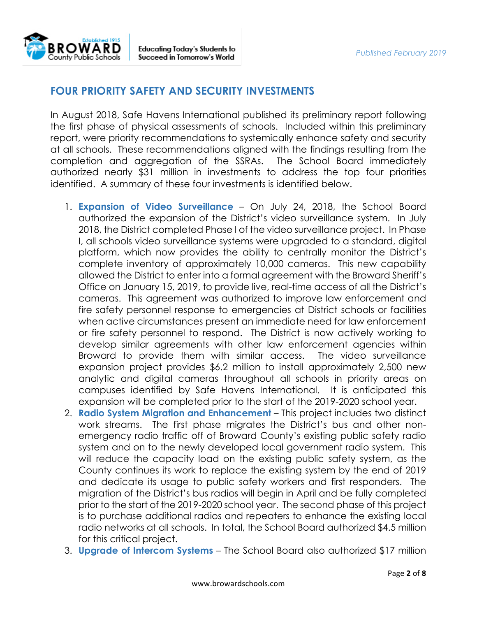

### **FOUR PRIORITY SAFETY AND SECURITY INVESTMENTS**

 In August 2018, Safe Havens International published its preliminary report following the first phase of physical assessments of schools. Included within this preliminary report, were priority recommendations to systemically enhance safety and security at all schools. These recommendations aligned with the findings resulting from the completion and aggregation of the SSRAs. The School Board immediately authorized nearly \$31 million in investments to address the top four priorities identified. A summary of these four investments is identified below.

- 1. **Expansion of Video Surveillance**  On July 24, 2018, the School Board authorized the expansion of the District's video surveillance system. In July 2018, the District completed Phase I of the video surveillance project. In Phase I, all schools video surveillance systems were upgraded to a standard, digital platform, which now provides the ability to centrally monitor the District's complete inventory of approximately 10,000 cameras. This new capability allowed the District to enter into a formal agreement with the Broward Sheriff's Office on January 15, 2019, to provide live, real-time access of all the District's cameras. This agreement was authorized to improve law enforcement and fire safety personnel response to emergencies at District schools or facilities when active circumstances present an immediate need for law enforcement or fire safety personnel to respond. The District is now actively working to develop similar agreements with other law enforcement agencies within Broward to provide them with similar access. The video surveillance expansion project provides \$6.2 million to install approximately 2,500 new analytic and digital cameras throughout all schools in priority areas on campuses identified by Safe Havens International. It is anticipated this expansion will be completed prior to the start of the 2019-2020 school year.
- 2. **Radio System Migration and Enhancement**  This project includes two distinct work streams. The first phase migrates the District's bus and other non- emergency radio traffic off of Broward County's existing public safety radio system and on to the newly developed local government radio system. This will reduce the capacity load on the existing public safety system, as the County continues its work to replace the existing system by the end of 2019 and dedicate its usage to public safety workers and first responders. The migration of the District's bus radios will begin in April and be fully completed prior to the start of the 2019-2020 school year. The second phase of this project is to purchase additional radios and repeaters to enhance the existing local radio networks at all schools. In total, the School Board authorized \$4.5 million for this critical project.
- 3. **Upgrade of Intercom Systems**  The School Board also authorized \$17 million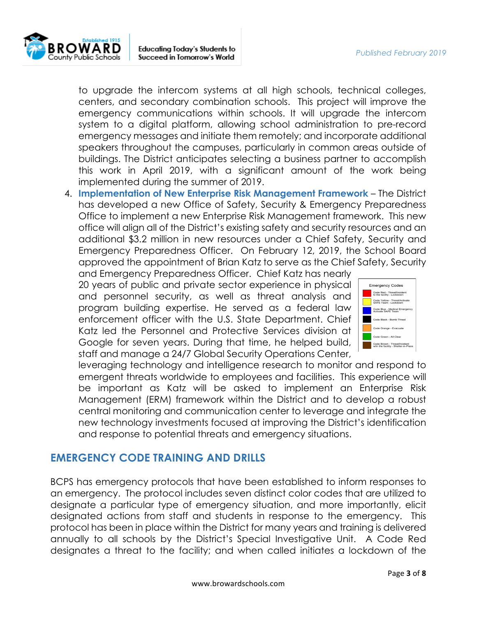

 to upgrade the intercom systems at all high schools, technical colleges, centers, and secondary combination schools. This project will improve the emergency communications within schools. It will upgrade the intercom system to a digital platform, allowing school administration to pre-record emergency messages and initiate them remotely; and incorporate additional speakers throughout the campuses, particularly in common areas outside of buildings. The District anticipates selecting a business partner to accomplish this work in April 2019, with a significant amount of the work being implemented during the summer of 2019.

 4. **Implementation of New Enterprise Risk Management Framework** – The District has developed a new Office of Safety, Security & Emergency Preparedness Office to implement a new Enterprise Risk Management framework. This new office will align all of the District's existing safety and security resources and an additional \$3.2 million in new resources under a Chief Safety, Security and Emergency Preparedness Officer. On February 12, 2019, the School Board approved the appointment of Brian Katz to serve as the Chief Safety, Security

 and Emergency Preparedness Officer. Chief Katz has nearly 20 years of public and private sector experience in physical and personnel security, as well as threat analysis and program building expertise. He served as a federal law enforcement officer with the U.S. State Department. Chief Katz led the Personnel and Protective Services division at Google for seven years. During that time, he helped build, staff and manage a 24/7 Global Security Operations Center,



 leveraging technology and intelligence research to monitor and respond to emergent threats worldwide to employees and facilities. This experience will be important as Katz will be asked to implement an Enterprise Risk Management (ERM) framework within the District and to develop a robust central monitoring and communication center to leverage and integrate the new technology investments focused at improving the District's identification and response to potential threats and emergency situations.

#### **EMERGENCY CODE TRAINING AND DRILLS**

 BCPS has emergency protocols that have been established to inform responses to an emergency. The protocol includes seven distinct color codes that are utilized to designate a particular type of emergency situation, and more importantly, elicit designated actions from staff and students in response to the emergency. This protocol has been in place within the District for many years and training is delivered annually to all schools by the District's Special Investigative Unit. A Code Red designates a threat to the facility; and when called initiates a lockdown of the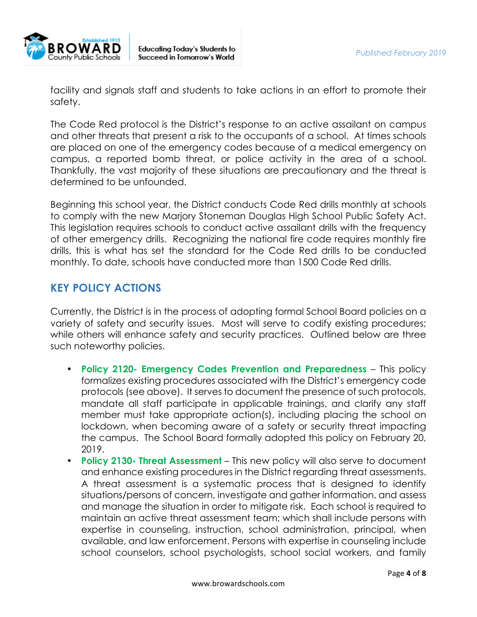

 facility and signals staff and students to take actions in an effort to promote their safety.

 The Code Red protocol is the District's response to an active assailant on campus and other threats that present a risk to the occupants of a school. At times schools are placed on one of the emergency codes because of a medical emergency on campus, a reported bomb threat, or police activity in the area of a school. Thankfully, the vast majority of these situations are precautionary and the threat is determined to be unfounded.

 Beginning this school year, the District conducts Code Red drills monthly at schools to comply with the new Marjory Stoneman Douglas High School Public Safety Act. This legislation requires schools to conduct active assailant drills with the frequency of other emergency drills. Recognizing the national fire code requires monthly fire drills, this is what has set the standard for the Code Red drills to be conducted monthly. To date, schools have conducted more than 1500 Code Red drills.

# **KEY POLICY ACTIONS**

 Currently, the District is in the process of adopting formal School Board policies on a variety of safety and security issues. Most will serve to codify existing procedures; while others will enhance safety and security practices. Outlined below are three such noteworthy policies.

- • **Policy 2120- Emergency Codes Prevention and Preparedness**  This policy formalizes existing procedures associated with the District's emergency code protocols (see above). It serves to document the presence of such protocols, mandate all staff participate in applicable trainings, and clarify any staff member must take appropriate action(s), including placing the school on lockdown, when becoming aware of a safety or security threat impacting the campus. The School Board formally adopted this policy on February 20, 2019.
- • **Policy 2130- Threat Assessment**  This new policy will also serve to document and enhance existing procedures in the District regarding threat assessments. A threat assessment is a systematic process that is designed to identify situations/persons of concern, investigate and gather information, and assess and manage the situation in order to mitigate risk. Each school is required to maintain an active threat assessment team; which shall include persons with expertise in counseling, instruction, school administration, principal, when available, and law enforcement. Persons with expertise in counseling include school counselors, school psychologists, school social workers, and family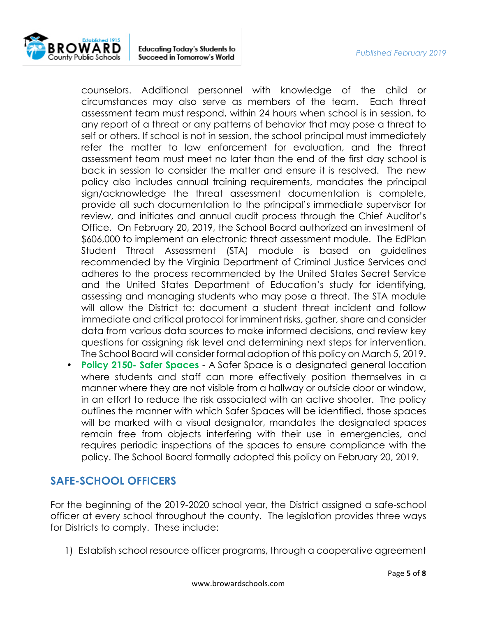

 counselors. Additional personnel with knowledge of the child or circumstances may also serve as members of the team. Each threat assessment team must respond, within 24 hours when school is in session, to any report of a threat or any patterns of behavior that may pose a threat to self or others. If school is not in session, the school principal must immediately refer the matter to law enforcement for evaluation, and the threat assessment team must meet no later than the end of the first day school is back in session to consider the matter and ensure it is resolved. The new policy also includes annual training requirements, mandates the principal sign/acknowledge the threat assessment documentation is complete, provide all such documentation to the principal's immediate supervisor for review, and initiates and annual audit process through the Chief Auditor's Office. On February 20, 2019, the School Board authorized an investment of \$606,000 to implement an electronic threat assessment module. The EdPlan Student Threat Assessment (STA) module is based on guidelines recommended by the Virginia Department of Criminal Justice Services and adheres to the process recommended by the United States Secret Service and the United States Department of Education's study for identifying, assessing and managing students who may pose a threat. The STA module will allow the District to: document a student threat incident and follow immediate and critical protocol for imminent risks, gather, share and consider data from various data sources to make informed decisions, and review key questions for assigning risk level and determining next steps for intervention. The School Board will consider formal adoption of this policy on March 5, 2019.

 • **Policy 2150- Safer Spaces** - A Safer Space is a designated general location where students and staff can more effectively position themselves in a manner where they are not visible from a hallway or outside door or window, in an effort to reduce the risk associated with an active shooter. The policy outlines the manner with which Safer Spaces will be identified, those spaces will be marked with a visual designator, mandates the designated spaces remain free from objects interfering with their use in emergencies, and requires periodic inspections of the spaces to ensure compliance with the policy. The School Board formally adopted this policy on February 20, 2019.

#### **SAFE-SCHOOL OFFICERS**

 For the beginning of the 2019-2020 school year, the District assigned a safe-school officer at every school throughout the county. The legislation provides three ways for Districts to comply. These include:

1) Establish school resource officer programs, through a cooperative agreement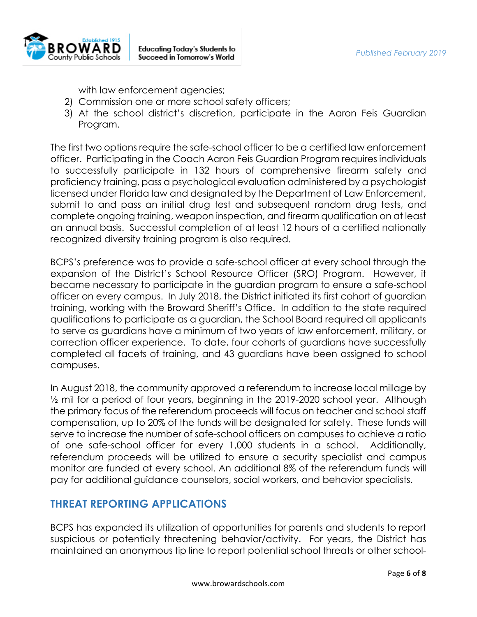

with law enforcement agencies;

- 2) Commission one or more school safety officers;
- 3) At the school district's discretion, participate in the Aaron Feis Guardian Program.

 The first two options require the safe-school officer to be a certified law enforcement officer. Participating in the Coach Aaron Feis Guardian Program requires individuals to successfully participate in 132 hours of comprehensive firearm safety and proficiency training, pass a psychological evaluation administered by a psychologist licensed under Florida law and designated by the Department of Law Enforcement, submit to and pass an initial drug test and subsequent random drug tests, and complete ongoing training, weapon inspection, and firearm qualification on at least an annual basis. Successful completion of at least 12 hours of a certified nationally recognized diversity training program is also required.

 BCPS's preference was to provide a safe-school officer at every school through the expansion of the District's School Resource Officer (SRO) Program. However, it became necessary to participate in the guardian program to ensure a safe-school officer on every campus. In July 2018, the District initiated its first cohort of guardian training, working with the Broward Sheriff's Office. In addition to the state required qualifications to participate as a guardian, the School Board required all applicants to serve as guardians have a minimum of two years of law enforcement, military, or correction officer experience. To date, four cohorts of guardians have successfully completed all facets of training, and 43 guardians have been assigned to school campuses.

 In August 2018, the community approved a referendum to increase local millage by ½ mil for a period of four years, beginning in the 2019-2020 school year. Although the primary focus of the referendum proceeds will focus on teacher and school staff compensation, up to 20% of the funds will be designated for safety. These funds will serve to increase the number of safe-school officers on campuses to achieve a ratio of one safe-school officer for every 1,000 students in a school. Additionally, referendum proceeds will be utilized to ensure a security specialist and campus monitor are funded at every school. An additional 8% of the referendum funds will pay for additional guidance counselors, social workers, and behavior specialists.

# **THREAT REPORTING APPLICATIONS**

 BCPS has expanded its utilization of opportunities for parents and students to report suspicious or potentially threatening behavior/activity. For years, the District has maintained an anonymous tip line to report potential school threats or other school-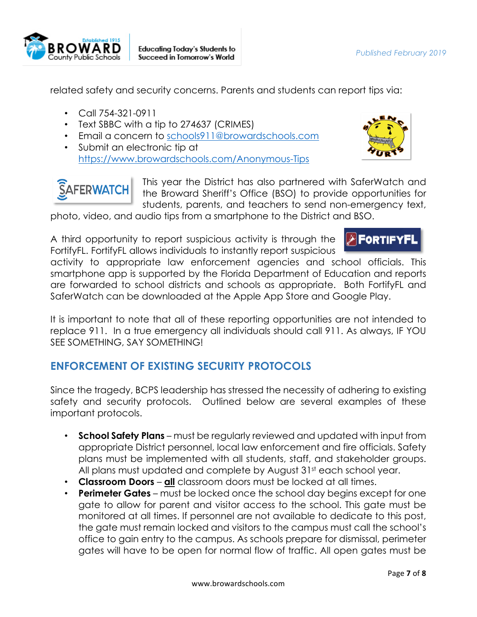

related safety and security concerns. Parents and students can report tips via:

- Call 754-321-0911
- Text SBBC with a tip to 274637 (CRIMES)
- Email a concern to schools911@browardschools.com
- • Submit an electronic tip at <https://www.browardschools.com/Anonymous-Tips>





 This year the District has also partnered with SaferWatch and the Broward Sheriff's Office (BSO) to provide opportunities for students, parents, and teachers to send non-emergency text,

photo, video, and audio tips from a smartphone to the District and BSO.

 A third opportunity to report suspicious activity is through the FortifyFL. FortifyFL allows individuals to instantly report suspicious



 activity to appropriate law enforcement agencies and school officials. This smartphone app is supported by the Florida Department of Education and reports are forwarded to school districts and schools as appropriate. Both FortifyFL and SaferWatch can be downloaded at the Apple App Store and Google Play.

 It is important to note that all of these reporting opportunities are not intended to replace 911. In a true emergency all individuals should call 911. As always, IF YOU SEE SOMETHING, SAY SOMETHING!

# **ENFORCEMENT OF EXISTING SECURITY PROTOCOLS**

 Since the tragedy, BCPS leadership has stressed the necessity of adhering to existing safety and security protocols. Outlined below are several examples of these important protocols.

- **School Safety Plans**  must be regularly reviewed and updated with input from appropriate District personnel, local law enforcement and fire officials. Safety plans must be implemented with all students, staff, and stakeholder groups. All plans must updated and complete by August 31st each school year.
- **Classroom Doors all** classroom doors must be locked at all times.
- • **Perimeter Gates**  must be locked once the school day begins except for one gate to allow for parent and visitor access to the school. This gate must be monitored at all times. If personnel are not available to dedicate to this post, the gate must remain locked and visitors to the campus must call the school's office to gain entry to the campus. As schools prepare for dismissal, perimeter gates will have to be open for normal flow of traffic. All open gates must be